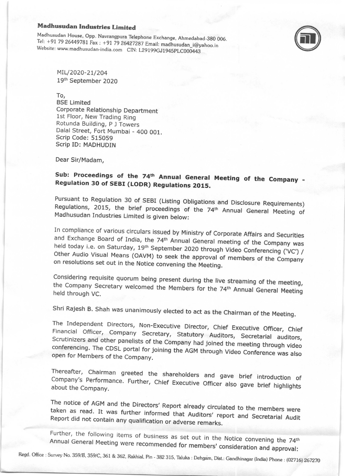**Madhusudan Industries Limited**<br>Madhusudan House, Opp. Navrangpura Telephone Exchange, Ahmedabad-380 006. Tel: +91 79 26449781 Fax : +91 79 26427287 Email: madhusudan\_i@yahoo.in Website: www.madhusudan-india.com CIN: L29199GJ1945PLC000443



MIL/2020-21/204 19tn September 2020

To,

BSE Limited Corporate Relationship Department 1st Floor, New Trading Ring Rotunda Building, p J Towers Dalal Street, Fort Mumbai - 400 001. Scrip Code: 515059 Scrip ID: MADHUDIN

Dear Sir/Madam,

# Sub: Proceedings of the 74<sup>th</sup> Annual General Meeting of the Company -Regulation 30 of SEBI (LODR) Regulations 2015.

Pursuant to Regulation 30 of SEBI (Listing Obligations and Disclosure Requirements) Madhusudan Industries Limited is given below: Regulations, 2015, the brief proceedings of the 74<sup>th</sup> Annual General Meeting of

In compliance of various circulars issued by Ministry of Corporate Affairs and Securities<br>and Exchange Board of India, the 74<sup>th</sup> Annual General meeting of the Company was<br>held today i.e. on Saturday, 19<sup>th</sup> September 2020 Other Audio Visual Means (OAVM) to seek the approval of members of the Company

Considering requisite quorum being present during the live streaming of the meeting, the Company Secretary welcomed the Members for the 74<sup>th</sup> Annual General Meeting held through VC.

Shri Rajesh B. Shah was unanimously elected to act as the Chairman of the Meeting.

The Independent Directors, Non-Executive Director, Chief Executive Officer, Chief Financial The Independent Directors, Non-Executive Director, Chief Executive Officer, Chief<br>Financial Officer, Company Secretary, Statutory Auditors, Secretarial auditors,<br>Scrutinizers and other panelists of the Company had joined t cordinizers and other parielists of the Company had joined the meeting through video<br>conferencing. The CDSL portal for joining the AGM through Video Conference was al open for Members of the Company. tencing. The CDSL portal for joining the AGM through Video Conference was also<br>for Members of the Company.

Thereafter, Chairman greeted the shareholders and gave brief introduction of<br>Company's Performance. Further, Chief Executive Officer also gave brief highlights<br>about the Company. Thereafter, Chairman greeted the shareholders and gave brief introduction of

The notice of AGM and the Directors' Report already circulated to the members were<br>taken as read. It was further informed that Auditors' report and Secretarial A. III taken as read. It was further informed that Auditors' report and Secretarial Audit<br>Report did not contain any qualification or adverse remarks. Report did not contain any qualification or adverse remarks.

Further, the following items of business as set out in the Notice convening the 74th Annual General Meeting items of business as set out in the Notice convening the 74<sup>th</sup><br>I were recommended for members' consideration and approval:

Regd. Office : Survey No. 359/B, 359/C, 361 & 362, Rakhial, Pin - 382 315, Taluka : Dehgam, Dist.: Gandhinagar (India) Phone : (02716) 267270